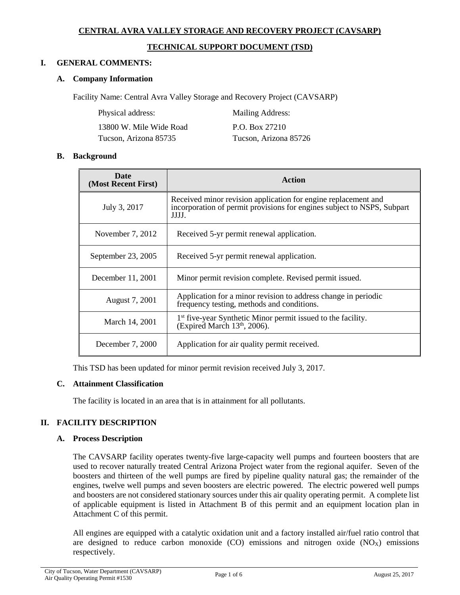# **CENTRAL AVRA VALLEY STORAGE AND RECOVERY PROJECT (CAVSARP)**

## **TECHNICAL SUPPORT DOCUMENT (TSD)**

## **I. GENERAL COMMENTS:**

## **A. Company Information**

Facility Name: Central Avra Valley Storage and Recovery Project (CAVSARP)

| Physical address:       | Mailing Address:      |
|-------------------------|-----------------------|
| 13800 W. Mile Wide Road | P.O. Box 27210        |
| Tucson, Arizona 85735   | Tucson, Arizona 85726 |

#### **B. Background**

| Date<br>(Most Recent First) | Action                                                                                                                                             |  |  |  |  |
|-----------------------------|----------------------------------------------------------------------------------------------------------------------------------------------------|--|--|--|--|
| July 3, 2017                | Received minor revision application for engine replacement and<br>incorporation of permit provisions for engines subject to NSPS, Subpart<br>JJJJ. |  |  |  |  |
| November $7, 2012$          | Received 5-yr permit renewal application.                                                                                                          |  |  |  |  |
| September 23, 2005          | Received 5-yr permit renewal application.                                                                                                          |  |  |  |  |
| December 11, 2001           | Minor permit revision complete. Revised permit issued.                                                                                             |  |  |  |  |
| August 7, 2001              | Application for a minor revision to address change in periodic<br>frequency testing, methods and conditions.                                       |  |  |  |  |
| March 14, 2001              | 1 <sup>st</sup> five-year Synthetic Minor permit issued to the facility.<br>(Expired March 13th, 2006).                                            |  |  |  |  |
| December 7, 2000            | Application for air quality permit received.                                                                                                       |  |  |  |  |

This TSD has been updated for minor permit revision received July 3, 2017.

## **C. Attainment Classification**

The facility is located in an area that is in attainment for all pollutants.

## **II. FACILITY DESCRIPTION**

## **A. Process Description**

The CAVSARP facility operates twenty-five large-capacity well pumps and fourteen boosters that are used to recover naturally treated Central Arizona Project water from the regional aquifer. Seven of the boosters and thirteen of the well pumps are fired by pipeline quality natural gas; the remainder of the engines, twelve well pumps and seven boosters are electric powered. The electric powered well pumps and boosters are not considered stationary sources under this air quality operating permit. A complete list of applicable equipment is listed in Attachment B of this permit and an equipment location plan in Attachment C of this permit.

All engines are equipped with a catalytic oxidation unit and a factory installed air/fuel ratio control that are designed to reduce carbon monoxide (CO) emissions and nitrogen oxide  $(NO<sub>X</sub>)$  emissions respectively.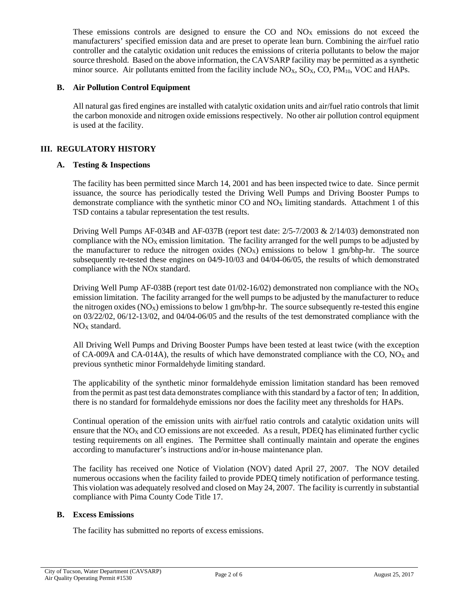These emissions controls are designed to ensure the  $CO$  and  $NO<sub>X</sub>$  emissions do not exceed the manufacturers' specified emission data and are preset to operate lean burn. Combining the air/fuel ratio controller and the catalytic oxidation unit reduces the emissions of criteria pollutants to below the major source threshold. Based on the above information, the CAVSARP facility may be permitted as a synthetic minor source. Air pollutants emitted from the facility include  $NO<sub>X</sub>$ ,  $SO<sub>X</sub>$ ,  $CO$ ,  $PM<sub>10</sub>$ ,  $VOC$  and HAPs.

# **B. Air Pollution Control Equipment**

All natural gas fired engines are installed with catalytic oxidation units and air/fuel ratio controls that limit the carbon monoxide and nitrogen oxide emissions respectively. No other air pollution control equipment is used at the facility.

# **III. REGULATORY HISTORY**

# **A. Testing & Inspections**

The facility has been permitted since March 14, 2001 and has been inspected twice to date. Since permit issuance, the source has periodically tested the Driving Well Pumps and Driving Booster Pumps to demonstrate compliance with the synthetic minor CO and  $NO<sub>X</sub>$  limiting standards. Attachment 1 of this TSD contains a tabular representation the test results.

Driving Well Pumps AF-034B and AF-037B (report test date: 2/5-7/2003 & 2/14/03) demonstrated non compliance with the  $NO<sub>x</sub>$  emission limitation. The facility arranged for the well pumps to be adjusted by the manufacturer to reduce the nitrogen oxides  $(NO<sub>X</sub>)$  emissions to below 1 gm/bhp-hr. The source subsequently re-tested these engines on 04/9-10/03 and 04/04-06/05, the results of which demonstrated compliance with the NOx standard.

Driving Well Pump AF-038B (report test date  $01/02$ -16/02) demonstrated non compliance with the NO<sub>X</sub> emission limitation. The facility arranged for the well pumps to be adjusted by the manufacturer to reduce the nitrogen oxides ( $N\text{O}_X$ ) emissions to below 1 gm/bhp-hr. The source subsequently re-tested this engine on 03/22/02, 06/12-13/02, and 04/04-06/05 and the results of the test demonstrated compliance with the  $NO<sub>X</sub>$  standard.

All Driving Well Pumps and Driving Booster Pumps have been tested at least twice (with the exception of CA-009A and CA-014A), the results of which have demonstrated compliance with the CO,  $NO<sub>X</sub>$  and previous synthetic minor Formaldehyde limiting standard.

The applicability of the synthetic minor formaldehyde emission limitation standard has been removed from the permit as past test data demonstrates compliance with this standard by a factor of ten; In addition, there is no standard for formaldehyde emissions nor does the facility meet any thresholds for HAPs.

Continual operation of the emission units with air/fuel ratio controls and catalytic oxidation units will ensure that the  $NO<sub>X</sub>$  and CO emissions are not exceeded. As a result, PDEQ has eliminated further cyclic testing requirements on all engines. The Permittee shall continually maintain and operate the engines according to manufacturer's instructions and/or in-house maintenance plan.

The facility has received one Notice of Violation (NOV) dated April 27, 2007. The NOV detailed numerous occasions when the facility failed to provide PDEQ timely notification of performance testing. This violation was adequately resolved and closed on May 24, 2007. The facility is currently in substantial compliance with Pima County Code Title 17.

# **B. Excess Emissions**

The facility has submitted no reports of excess emissions.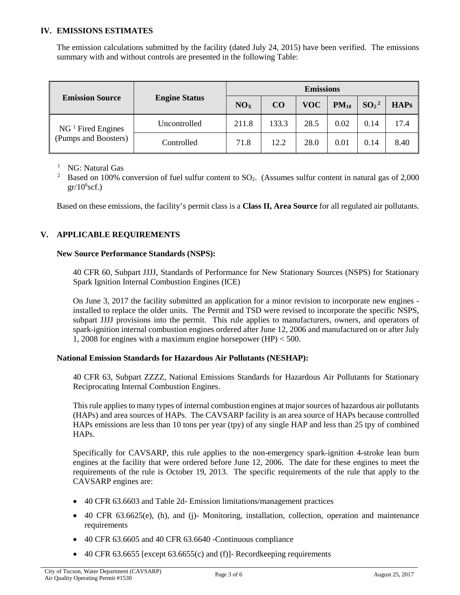## **IV. EMISSIONS ESTIMATES**

The emission calculations submitted by the facility (dated July 24, 2015) have been verified. The emissions summary with and without controls are presented in the following Table:

|                        |                      | <b>Emissions</b> |       |            |           |                              |             |
|------------------------|----------------------|------------------|-------|------------|-----------|------------------------------|-------------|
| <b>Emission Source</b> | <b>Engine Status</b> | NO <sub>X</sub>  | CO    | <b>VOC</b> | $PM_{10}$ | SO <sub>2</sub> <sup>2</sup> | <b>HAPs</b> |
| $NG1$ Fired Engines    | Uncontrolled         | 211.8            | 133.3 | 28.5       | 0.02      | 0.14                         | 17.4        |
| (Pumps and Boosters)   | Controlled           | 71.8             | 12.2  | 28.0       | 0.01      | 0.14                         | 8.40        |

<sup>1</sup> NG: Natural Gas

<sup>2</sup> Based on 100% conversion of fuel sulfur content to SO<sub>2</sub>. (Assumes sulfur content in natural gas of 2,000  $gr/10^6$ scf.)

Based on these emissions, the facility's permit class is a **Class II, Area Source** for all regulated air pollutants.

## **V. APPLICABLE REQUIREMENTS**

#### **New Source Performance Standards (NSPS):**

40 CFR 60, Subpart JJJJ, Standards of Performance for New Stationary Sources (NSPS) for Stationary Spark Ignition Internal Combustion Engines (ICE)

On June 3, 2017 the facility submitted an application for a minor revision to incorporate new engines installed to replace the older units. The Permit and TSD were revised to incorporate the specific NSPS, subpart JJJJ provisions into the permit. This rule applies to manufacturers, owners, and operators of spark-ignition internal combustion engines ordered after June 12, 2006 and manufactured on or after July 1, 2008 for engines with a maximum engine horsepower (HP) < 500.

## **National Emission Standards for Hazardous Air Pollutants (NESHAP):**

40 CFR 63, Subpart ZZZZ, National Emissions Standards for Hazardous Air Pollutants for Stationary Reciprocating Internal Combustion Engines.

This rule applies to many types of internal combustion engines at major sources of hazardous air pollutants (HAPs) and area sources of HAPs. The CAVSARP facility is an area source of HAPs because controlled HAPs emissions are less than 10 tons per year (tpy) of any single HAP and less than 25 tpy of combined HAPs.

Specifically for CAVSARP, this rule applies to the non-emergency spark-ignition 4-stroke lean burn engines at the facility that were ordered before June 12, 2006. The date for these engines to meet the requirements of the rule is October 19, 2013. The specific requirements of the rule that apply to the CAVSARP engines are:

- 40 CFR 63.6603 and Table 2d- Emission limitations/management practices
- 40 CFR 63.6625(e), (h), and (j)- Monitoring, installation, collection, operation and maintenance requirements
- 40 CFR 63.6605 and 40 CFR 63.6640 -Continuous compliance
- 40 CFR 63.6655 [except 63.6655(c) and (f)]- Recordkeeping requirements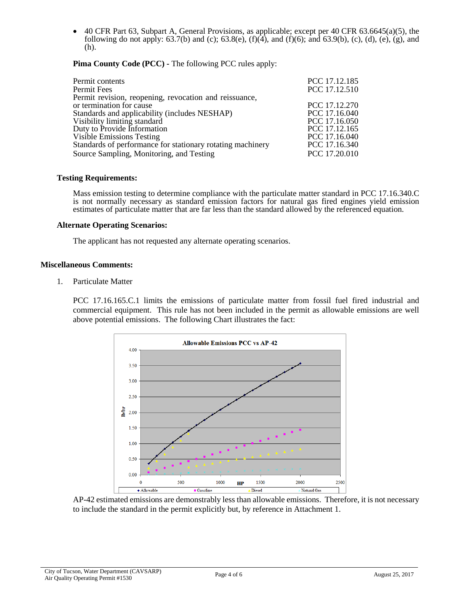• 40 CFR Part 63, Subpart A, General Provisions, as applicable; except per 40 CFR 63.6645(a)(5), the following do not apply: 63.7(b) and (c); 63.8(e), (f)(4), and (f)(6); and 63.9(b), (c), (d), (e), (g), and (h).

## **Pima County Code (PCC) -** The following PCC rules apply:

| Permit contents                                            | PCC 17.12.185 |
|------------------------------------------------------------|---------------|
| Permit Fees                                                | PCC 17.12.510 |
| Permit revision, reopening, revocation and reissuance,     |               |
| or termination for cause                                   | PCC 17.12.270 |
| Standards and applicability (includes NESHAP)              | PCC 17.16.040 |
| Visibility limiting standard                               | PCC 17.16.050 |
| Duty to Provide Information                                | PCC 17.12.165 |
| <b>Visible Emissions Testing</b>                           | PCC 17.16.040 |
| Standards of performance for stationary rotating machinery | PCC 17.16.340 |
| Source Sampling, Monitoring, and Testing                   | PCC 17.20.010 |
|                                                            |               |

## **Testing Requirements:**

Mass emission testing to determine compliance with the particulate matter standard in PCC 17.16.340.C is not normally necessary as standard emission factors for natural gas fired engines yield emission estimates of particulate matter that are far less than the standard allowed by the referenced equation.

#### **Alternate Operating Scenarios:**

The applicant has not requested any alternate operating scenarios.

#### **Miscellaneous Comments:**

1. Particulate Matter

PCC 17.16.165.C.1 limits the emissions of particulate matter from fossil fuel fired industrial and commercial equipment. This rule has not been included in the permit as allowable emissions are well above potential emissions. The following Chart illustrates the fact:



AP-42 estimated emissions are demonstrably less than allowable emissions. Therefore, it is not necessary to include the standard in the permit explicitly but, by reference in Attachment 1.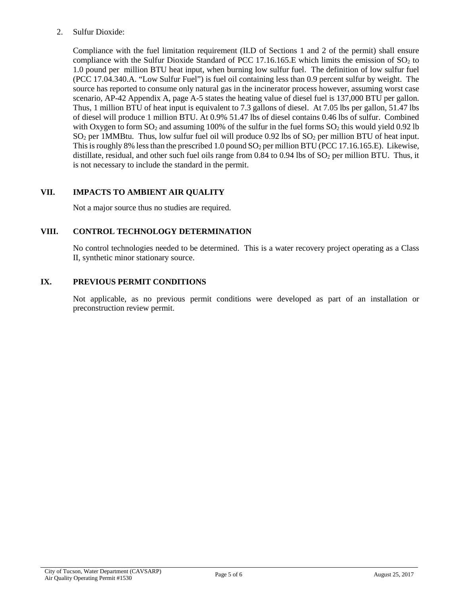# 2. Sulfur Dioxide:

Compliance with the fuel limitation requirement (II.D of Sections 1 and 2 of the permit) shall ensure compliance with the Sulfur Dioxide Standard of PCC 17.16.165.E which limits the emission of  $SO_2$  to 1.0 pound per million BTU heat input, when burning low sulfur fuel. The definition of low sulfur fuel (PCC 17.04.340.A. "Low Sulfur Fuel") is fuel oil containing less than 0.9 percent sulfur by weight. The source has reported to consume only natural gas in the incinerator process however, assuming worst case scenario, AP-42 Appendix A, page A-5 states the heating value of diesel fuel is 137,000 BTU per gallon. Thus, 1 million BTU of heat input is equivalent to 7.3 gallons of diesel. At 7.05 lbs per gallon, 51.47 lbs of diesel will produce 1 million BTU. At 0.9% 51.47 lbs of diesel contains 0.46 lbs of sulfur. Combined with Oxygen to form  $SO_2$  and assuming 100% of the sulfur in the fuel forms  $SO_2$  this would yield 0.92 lb  $SO<sub>2</sub>$  per 1MMBtu. Thus, low sulfur fuel oil will produce 0.92 lbs of  $SO<sub>2</sub>$  per million BTU of heat input. This is roughly 8% less than the prescribed 1.0 pound  $SO<sub>2</sub>$  per million BTU (PCC 17.16.165.E). Likewise, distillate, residual, and other such fuel oils range from  $0.84$  to  $0.94$  lbs of  $SO<sub>2</sub>$  per million BTU. Thus, it is not necessary to include the standard in the permit.

# **VII. IMPACTS TO AMBIENT AIR QUALITY**

Not a major source thus no studies are required.

# **VIII. CONTROL TECHNOLOGY DETERMINATION**

No control technologies needed to be determined. This is a water recovery project operating as a Class II, synthetic minor stationary source.

# **IX. PREVIOUS PERMIT CONDITIONS**

Not applicable, as no previous permit conditions were developed as part of an installation or preconstruction review permit.